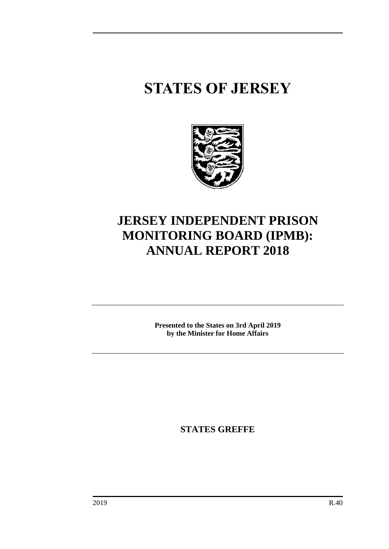## **STATES OF JERSEY**



### **JERSEY INDEPENDENT PRISON MONITORING BOARD (IPMB): ANNUAL REPORT 2018**

**Presented to the States on 3rd April 2019 by the Minister for Home Affairs**

**STATES GREFFE**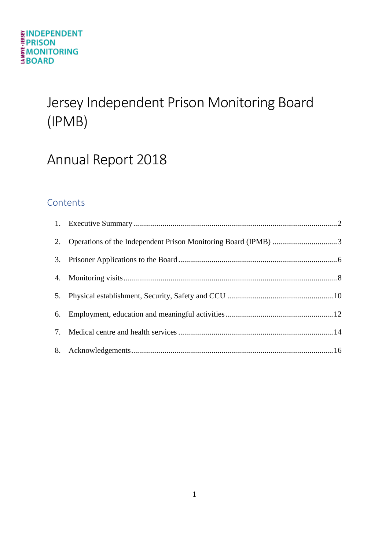# Jersey Independent Prison Monitoring Board (IPMB)

### Annual Report 2018

### **Contents**

| 2. Operations of the Independent Prison Monitoring Board (IPMB) 3 |  |
|-------------------------------------------------------------------|--|
|                                                                   |  |
|                                                                   |  |
|                                                                   |  |
|                                                                   |  |
|                                                                   |  |
|                                                                   |  |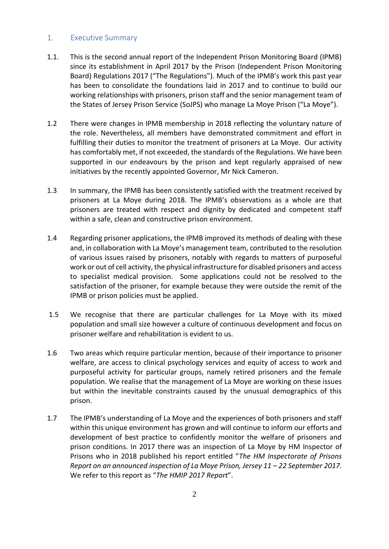#### <span id="page-3-0"></span>1. Executive Summary

- 1.1. This is the second annual report of the Independent Prison Monitoring Board (IPMB) since its establishment in April 2017 by the Prison (Independent Prison Monitoring Board) Regulations 2017 ("The Regulations"). Much of the IPMB's work this past year has been to consolidate the foundations laid in 2017 and to continue to build our working relationships with prisoners, prison staff and the senior management team of the States of Jersey Prison Service (SoJPS) who manage La Moye Prison ("La Moye").
- 1.2 There were changes in IPMB membership in 2018 reflecting the voluntary nature of the role. Nevertheless, all members have demonstrated commitment and effort in fulfilling their duties to monitor the treatment of prisoners at La Moye. Our activity has comfortably met, if not exceeded, the standards of the Regulations. We have been supported in our endeavours by the prison and kept regularly appraised of new initiatives by the recently appointed Governor, Mr Nick Cameron.
- 1.3 In summary, the IPMB has been consistently satisfied with the treatment received by prisoners at La Moye during 2018. The IPMB's observations as a whole are that prisoners are treated with respect and dignity by dedicated and competent staff within a safe, clean and constructive prison environment.
- 1.4 Regarding prisoner applications, the IPMB improved its methods of dealing with these and, in collaboration with La Moye's management team, contributed to the resolution of various issues raised by prisoners, notably with regards to matters of purposeful work or out of cell activity, the physical infrastructure for disabled prisoners and access to specialist medical provision. Some applications could not be resolved to the satisfaction of the prisoner, for example because they were outside the remit of the IPMB or prison policies must be applied.
- 1.5 We recognise that there are particular challenges for La Moye with its mixed population and small size however a culture of continuous development and focus on prisoner welfare and rehabilitation is evident to us.
- 1.6 Two areas which require particular mention, because of their importance to prisoner welfare, are access to clinical psychology services and equity of access to work and purposeful activity for particular groups, namely retired prisoners and the female population. We realise that the management of La Moye are working on these issues but within the inevitable constraints caused by the unusual demographics of this prison.
- 1.7 The IPMB's understanding of La Moye and the experiences of both prisoners and staff within this unique environment has grown and will continue to inform our efforts and development of best practice to confidently monitor the welfare of prisoners and prison conditions. In 2017 there was an inspection of La Moye by HM Inspector of Prisons who in 2018 published his report entitled "*The HM Inspectorate of Prisons Report on an announced inspection of La Moye Prison, Jersey 11 – 22 September 2017.*  We refer to this report as "*The HMIP 2017 Report*".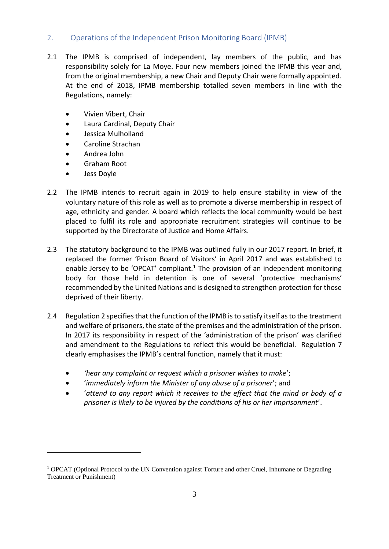#### <span id="page-4-0"></span>2. Operations of the Independent Prison Monitoring Board (IPMB)

- 2.1 The IPMB is comprised of independent, lay members of the public, and has responsibility solely for La Moye. Four new members joined the IPMB this year and, from the original membership, a new Chair and Deputy Chair were formally appointed. At the end of 2018, IPMB membership totalled seven members in line with the Regulations, namely:
	- Vivien Vibert, Chair
	- Laura Cardinal, Deputy Chair
	- Jessica Mulholland
	- Caroline Strachan
	- Andrea John
	- Graham Root
	- Jess Doyle

1

- 2.2 The IPMB intends to recruit again in 2019 to help ensure stability in view of the voluntary nature of this role as well as to promote a diverse membership in respect of age, ethnicity and gender. A board which reflects the local community would be best placed to fulfil its role and appropriate recruitment strategies will continue to be supported by the Directorate of Justice and Home Affairs.
- 2.3 The statutory background to the IPMB was outlined fully in our 2017 report. In brief, it replaced the former 'Prison Board of Visitors' in April 2017 and was established to enable Jersey to be 'OPCAT' compliant.<sup>1</sup> The provision of an independent monitoring body for those held in detention is one of several 'protective mechanisms' recommended by the United Nations and is designed to strengthen protection for those deprived of their liberty.
- 2.4 Regulation 2 specifies that the function of the IPMB is to satisfy itself as to the treatment and welfare of prisoners, the state of the premises and the administration of the prison. In 2017 its responsibility in respect of the 'administration of the prison' was clarified and amendment to the Regulations to reflect this would be beneficial. Regulation 7 clearly emphasises the IPMB's central function, namely that it must:
	- *'hear any complaint or request which a prisoner wishes to make*';
	- '*immediately inform the Minister of any abuse of a prisoner*'; and
	- '*attend to any report which it receives to the effect that the mind or body of a prisoner is likely to be injured by the conditions of his or her imprisonment*'.

<sup>&</sup>lt;sup>1</sup> OPCAT (Optional Protocol to the UN Convention against Torture and other Cruel, Inhumane or Degrading Treatment or Punishment)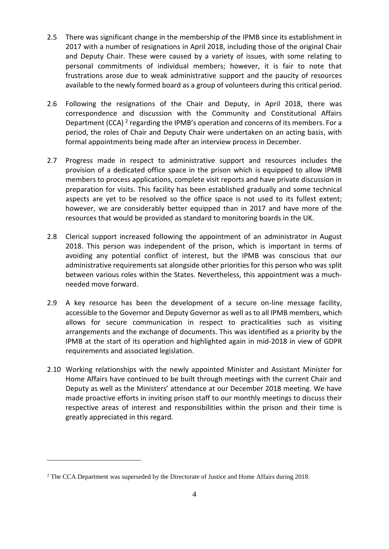- 2.5 There was significant change in the membership of the IPMB since its establishment in 2017 with a number of resignations in April 2018, including those of the original Chair and Deputy Chair. These were caused by a variety of issues, with some relating to personal commitments of individual members; however, it is fair to note that frustrations arose due to weak administrative support and the paucity of resources available to the newly formed board as a group of volunteers during this critical period.
- 2.6 Following the resignations of the Chair and Deputy, in April 2018, there was correspondence and discussion with the Community and Constitutional Affairs Department (CCA)<sup>2</sup> regarding the IPMB's operation and concerns of its members. For a period, the roles of Chair and Deputy Chair were undertaken on an acting basis, with formal appointments being made after an interview process in December.
- 2.7 Progress made in respect to administrative support and resources includes the provision of a dedicated office space in the prison which is equipped to allow IPMB members to process applications, complete visit reports and have private discussion in preparation for visits. This facility has been established gradually and some technical aspects are yet to be resolved so the office space is not used to its fullest extent; however, we are considerably better equipped than in 2017 and have more of the resources that would be provided as standard to monitoring boards in the UK.
- 2.8 Clerical support increased following the appointment of an administrator in August 2018. This person was independent of the prison, which is important in terms of avoiding any potential conflict of interest, but the IPMB was conscious that our administrative requirements sat alongside other priorities for this person who was split between various roles within the States. Nevertheless, this appointment was a muchneeded move forward.
- 2.9 A key resource has been the development of a secure on-line message facility, accessible to the Governor and Deputy Governor as well as to all IPMB members, which allows for secure communication in respect to practicalities such as visiting arrangements and the exchange of documents. This was identified as a priority by the IPMB at the start of its operation and highlighted again in mid-2018 in view of GDPR requirements and associated legislation.
- 2.10 Working relationships with the newly appointed Minister and Assistant Minister for Home Affairs have continued to be built through meetings with the current Chair and Deputy as well as the Ministers' attendance at our December 2018 meeting. We have made proactive efforts in inviting prison staff to our monthly meetings to discuss their respective areas of interest and responsibilities within the prison and their time is greatly appreciated in this regard.

<u>.</u>

<sup>&</sup>lt;sup>2</sup> The CCA Department was superseded by the Directorate of Justice and Home Affairs during 2018.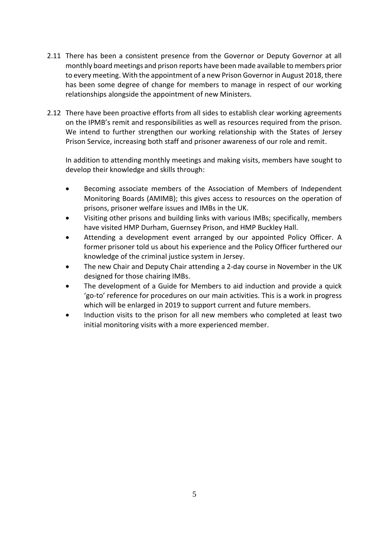- 2.11 There has been a consistent presence from the Governor or Deputy Governor at all monthly board meetings and prison reports have been made available to members prior to every meeting. With the appointment of a new Prison Governor in August 2018, there has been some degree of change for members to manage in respect of our working relationships alongside the appointment of new Ministers.
- 2.12 There have been proactive efforts from all sides to establish clear working agreements on the IPMB's remit and responsibilities as well as resources required from the prison. We intend to further strengthen our working relationship with the States of Jersey Prison Service, increasing both staff and prisoner awareness of our role and remit.

In addition to attending monthly meetings and making visits, members have sought to develop their knowledge and skills through:

- Becoming associate members of the Association of Members of Independent Monitoring Boards (AMIMB); this gives access to resources on the operation of prisons, prisoner welfare issues and IMBs in the UK.
- Visiting other prisons and building links with various IMBs; specifically, members have visited HMP Durham, Guernsey Prison, and HMP Buckley Hall.
- Attending a development event arranged by our appointed Policy Officer. A former prisoner told us about his experience and the Policy Officer furthered our knowledge of the criminal justice system in Jersey.
- The new Chair and Deputy Chair attending a 2-day course in November in the UK designed for those chairing IMBs.
- The development of a Guide for Members to aid induction and provide a quick 'go-to' reference for procedures on our main activities. This is a work in progress which will be enlarged in 2019 to support current and future members.
- Induction visits to the prison for all new members who completed at least two initial monitoring visits with a more experienced member.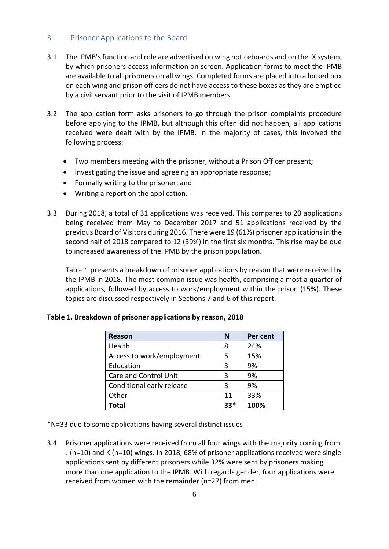#### <span id="page-7-0"></span>3. Prisoner Applications to the Board

- 3.1 The IPMB's function and role are advertised on wing noticeboards and on the IX system, by which prisoners access information on screen. Application forms to meet the IPMB are available to all prisoners on all wings. Completed forms are placed into a locked box on each wing and prison officers do not have access to these boxes as they are emptied by a civil servant prior to the visit of IPMB members.
- 3.2 The application form asks prisoners to go through the prison complaints procedure before applying to the IPMB, but although this often did not happen, all applications received were dealt with by the IPMB. In the majority of cases, this involved the following process:
	- Two members meeting with the prisoner, without a Prison Officer present;
	- Investigating the issue and agreeing an appropriate response;
	- Formally writing to the prisoner: and
	- Writing a report on the application.
- 3.3 During 2018, a total of 31 applications was received. This compares to 20 applications being received from May to December 2017 and 51 applications received by the previous Board of Visitors during 2016. There were 19 (61%) prisoner applicationsin the second half of 2018 compared to 12 (39%) in the first six months. This rise may be due to increased awareness of the IPMB by the prison population.

Table 1 presents a breakdown of prisoner applications by reason that were received by the IPMB in 2018. The most common issue was health, comprising almost a quarter of applications, followed by access to work/employment within the prison (15%). These topics are discussed respectively in Sections 7 and 6 of this report.

| <b>Reason</b>             | N   | Per cent |
|---------------------------|-----|----------|
| Health                    | 8   | 24%      |
| Access to work/employment | 5   | 15%      |
| Education                 | 3   | 9%       |
| Care and Control Unit     | ς   | 9%       |
| Conditional early release | 3   | 9%       |
| Other                     | 11  | 33%      |
| Total                     | 33* | 100%     |

#### **Table 1. Breakdown of prisoner applications by reason, 2018**

\*N=33 due to some applications having several distinct issues

3.4 Prisoner applications were received from all four wings with the majority coming from J (n=10) and K (n=10) wings. In 2018, 68% of prisoner applications received were single applications sent by different prisoners while 32% were sent by prisoners making more than one application to the IPMB. With regards gender, four applications were received from women with the remainder (n=27) from men.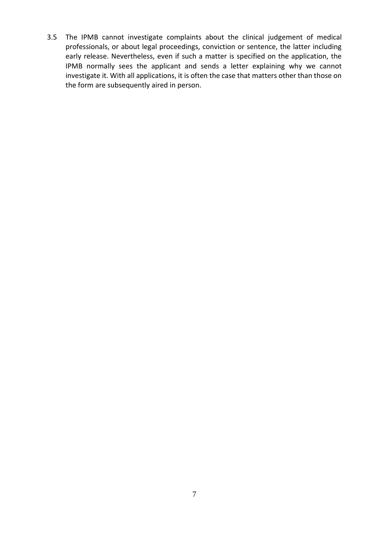3.5 The IPMB cannot investigate complaints about the clinical judgement of medical professionals, or about legal proceedings, conviction or sentence, the latter including early release. Nevertheless, even if such a matter is specified on the application, the IPMB normally sees the applicant and sends a letter explaining why we cannot investigate it. With all applications, it is often the case that matters other than those on the form are subsequently aired in person.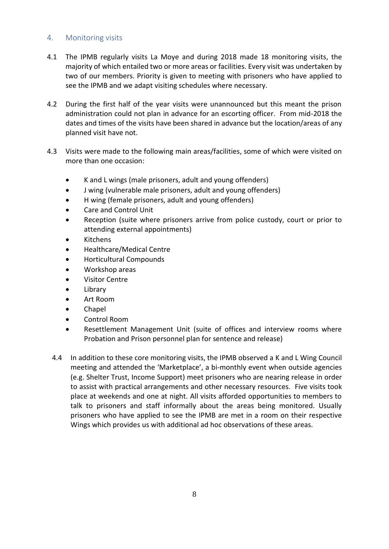#### <span id="page-9-0"></span>4. Monitoring visits

- 4.1 The IPMB regularly visits La Moye and during 2018 made 18 monitoring visits, the majority of which entailed two or more areas or facilities. Every visit was undertaken by two of our members. Priority is given to meeting with prisoners who have applied to see the IPMB and we adapt visiting schedules where necessary.
- 4.2 During the first half of the year visits were unannounced but this meant the prison administration could not plan in advance for an escorting officer. From mid-2018 the dates and times of the visits have been shared in advance but the location/areas of any planned visit have not.
- 4.3 Visits were made to the following main areas/facilities, some of which were visited on more than one occasion:
	- K and L wings (male prisoners, adult and young offenders)
	- J wing (vulnerable male prisoners, adult and young offenders)
	- H wing (female prisoners, adult and young offenders)
	- Care and Control Unit
	- Reception (suite where prisoners arrive from police custody, court or prior to attending external appointments)
	- Kitchens
	- Healthcare/Medical Centre
	- Horticultural Compounds
	- Workshop areas
	- Visitor Centre
	- Library
	- Art Room
	- Chapel
	- Control Room
	- Resettlement Management Unit (suite of offices and interview rooms where Probation and Prison personnel plan for sentence and release)
	- 4.4 In addition to these core monitoring visits, the IPMB observed a K and L Wing Council meeting and attended the 'Marketplace', a bi-monthly event when outside agencies (e.g. Shelter Trust, Income Support) meet prisoners who are nearing release in order to assist with practical arrangements and other necessary resources. Five visits took place at weekends and one at night. All visits afforded opportunities to members to talk to prisoners and staff informally about the areas being monitored. Usually prisoners who have applied to see the IPMB are met in a room on their respective Wings which provides us with additional ad hoc observations of these areas.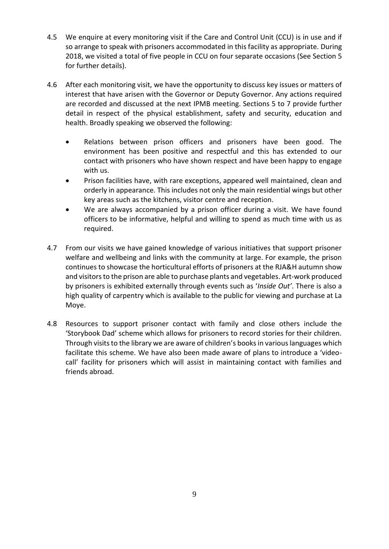- 4.5 We enquire at every monitoring visit if the Care and Control Unit (CCU) is in use and if so arrange to speak with prisoners accommodated in this facility as appropriate. During 2018, we visited a total of five people in CCU on four separate occasions (See Section 5 for further details).
- 4.6 After each monitoring visit, we have the opportunity to discuss key issues or matters of interest that have arisen with the Governor or Deputy Governor. Any actions required are recorded and discussed at the next IPMB meeting. Sections 5 to 7 provide further detail in respect of the physical establishment, safety and security, education and health. Broadly speaking we observed the following:
	- Relations between prison officers and prisoners have been good. The environment has been positive and respectful and this has extended to our contact with prisoners who have shown respect and have been happy to engage with us.
	- Prison facilities have, with rare exceptions, appeared well maintained, clean and orderly in appearance. This includes not only the main residential wings but other key areas such as the kitchens, visitor centre and reception.
	- We are always accompanied by a prison officer during a visit. We have found officers to be informative, helpful and willing to spend as much time with us as required.
- 4.7 From our visits we have gained knowledge of various initiatives that support prisoner welfare and wellbeing and links with the community at large. For example, the prison continues to showcase the horticultural efforts of prisoners at the RJA&H autumn show and visitors to the prison are able to purchase plants and vegetables. Art-work produced by prisoners is exhibited externally through events such as '*Inside Out'*. There is also a high quality of carpentry which is available to the public for viewing and purchase at La Moye.
- 4.8 Resources to support prisoner contact with family and close others include the 'Storybook Dad' scheme which allows for prisoners to record stories for their children. Through visits to the library we are aware of children's booksin various languages which facilitate this scheme. We have also been made aware of plans to introduce a 'videocall' facility for prisoners which will assist in maintaining contact with families and friends abroad.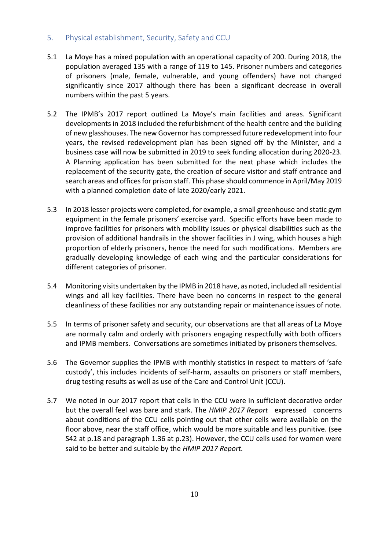#### <span id="page-11-0"></span>5. Physical establishment, Security, Safety and CCU

- 5.1 La Moye has a mixed population with an operational capacity of 200. During 2018, the population averaged 135 with a range of 119 to 145. Prisoner numbers and categories of prisoners (male, female, vulnerable, and young offenders) have not changed significantly since 2017 although there has been a significant decrease in overall numbers within the past 5 years.
- 5.2 The IPMB's 2017 report outlined La Moye's main facilities and areas. Significant developments in 2018 included the refurbishment of the health centre and the building of new glasshouses. The new Governor has compressed future redevelopment into four years, the revised redevelopment plan has been signed off by the Minister, and a business case will now be submitted in 2019 to seek funding allocation during 2020-23. A Planning application has been submitted for the next phase which includes the replacement of the security gate, the creation of secure visitor and staff entrance and search areas and offices for prison staff. This phase should commence in April/May 2019 with a planned completion date of late 2020/early 2021.
- 5.3 In 2018 lesser projects were completed, for example, a small greenhouse and static gym equipment in the female prisoners' exercise yard. Specific efforts have been made to improve facilities for prisoners with mobility issues or physical disabilities such as the provision of additional handrails in the shower facilities in J wing, which houses a high proportion of elderly prisoners, hence the need for such modifications. Members are gradually developing knowledge of each wing and the particular considerations for different categories of prisoner.
- 5.4 Monitoring visits undertaken by the IPMB in 2018 have, as noted, included all residential wings and all key facilities. There have been no concerns in respect to the general cleanliness of these facilities nor any outstanding repair or maintenance issues of note.
- 5.5 In terms of prisoner safety and security, our observations are that all areas of La Moye are normally calm and orderly with prisoners engaging respectfully with both officers and IPMB members. Conversations are sometimes initiated by prisoners themselves.
- 5.6 The Governor supplies the IPMB with monthly statistics in respect to matters of 'safe custody', this includes incidents of self-harm, assaults on prisoners or staff members, drug testing results as well as use of the Care and Control Unit (CCU).
- 5.7 We noted in our 2017 report that cells in the CCU were in sufficient decorative order but the overall feel was bare and stark. The *HMIP 2017 Report* expressed concerns about conditions of the CCU cells pointing out that other cells were available on the floor above, near the staff office, which would be more suitable and less punitive. (see S42 at p.18 and paragraph 1.36 at p.23). However, the CCU cells used for women were said to be better and suitable by the *HMIP 2017 Report.*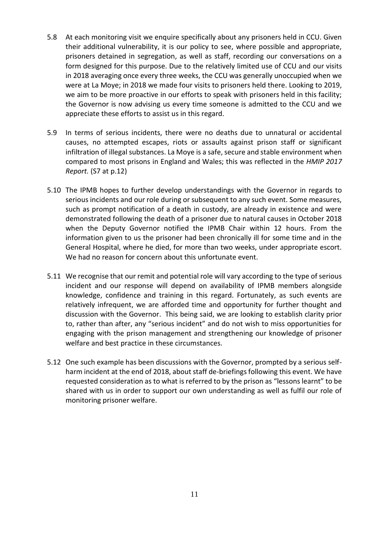- 5.8 At each monitoring visit we enquire specifically about any prisoners held in CCU. Given their additional vulnerability, it is our policy to see, where possible and appropriate, prisoners detained in segregation, as well as staff, recording our conversations on a form designed for this purpose. Due to the relatively limited use of CCU and our visits in 2018 averaging once every three weeks, the CCU was generally unoccupied when we were at La Moye; in 2018 we made four visits to prisoners held there. Looking to 2019, we aim to be more proactive in our efforts to speak with prisoners held in this facility; the Governor is now advising us every time someone is admitted to the CCU and we appreciate these efforts to assist us in this regard.
- 5.9 In terms of serious incidents, there were no deaths due to unnatural or accidental causes, no attempted escapes, riots or assaults against prison staff or significant infiltration of illegal substances. La Moye is a safe, secure and stable environment when compared to most prisons in England and Wales; this was reflected in the *HMIP 2017 Report.* (S7 at p.12)
- 5.10 The IPMB hopes to further develop understandings with the Governor in regards to serious incidents and our role during or subsequent to any such event. Some measures, such as prompt notification of a death in custody, are already in existence and were demonstrated following the death of a prisoner due to natural causes in October 2018 when the Deputy Governor notified the IPMB Chair within 12 hours. From the information given to us the prisoner had been chronically ill for some time and in the General Hospital, where he died, for more than two weeks, under appropriate escort. We had no reason for concern about this unfortunate event.
- 5.11 We recognise that our remit and potential role will vary according to the type of serious incident and our response will depend on availability of IPMB members alongside knowledge, confidence and training in this regard. Fortunately, as such events are relatively infrequent, we are afforded time and opportunity for further thought and discussion with the Governor. This being said, we are looking to establish clarity prior to, rather than after, any "serious incident" and do not wish to miss opportunities for engaging with the prison management and strengthening our knowledge of prisoner welfare and best practice in these circumstances.
- 5.12 One such example has been discussions with the Governor, prompted by a serious selfharm incident at the end of 2018, about staff de-briefings following this event. We have requested consideration as to what is referred to by the prison as "lessons learnt" to be shared with us in order to support our own understanding as well as fulfil our role of monitoring prisoner welfare.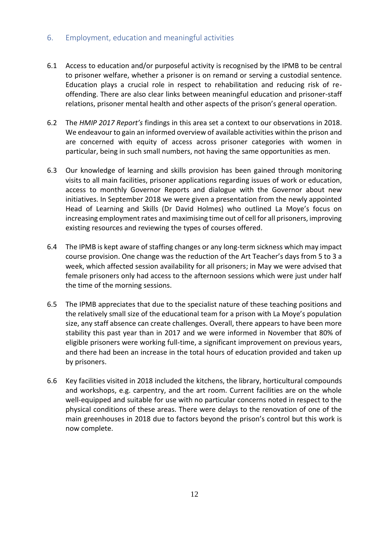#### <span id="page-13-0"></span>6. Employment, education and meaningful activities

- 6.1 Access to education and/or purposeful activity is recognised by the IPMB to be central to prisoner welfare, whether a prisoner is on remand or serving a custodial sentence. Education plays a crucial role in respect to rehabilitation and reducing risk of reoffending. There are also clear links between meaningful education and prisoner-staff relations, prisoner mental health and other aspects of the prison's general operation.
- 6.2 The *HMIP 2017 Report's* findings in this area set a context to our observations in 2018. We endeavour to gain an informed overview of available activities within the prison and are concerned with equity of access across prisoner categories with women in particular, being in such small numbers, not having the same opportunities as men.
- 6.3 Our knowledge of learning and skills provision has been gained through monitoring visits to all main facilities, prisoner applications regarding issues of work or education, access to monthly Governor Reports and dialogue with the Governor about new initiatives. In September 2018 we were given a presentation from the newly appointed Head of Learning and Skills (Dr David Holmes) who outlined La Moye's focus on increasing employment rates and maximising time out of cell for all prisoners, improving existing resources and reviewing the types of courses offered.
- 6.4 The IPMB is kept aware of staffing changes or any long-term sickness which may impact course provision. One change was the reduction of the Art Teacher's days from 5 to 3 a week, which affected session availability for all prisoners; in May we were advised that female prisoners only had access to the afternoon sessions which were just under half the time of the morning sessions.
- 6.5 The IPMB appreciates that due to the specialist nature of these teaching positions and the relatively small size of the educational team for a prison with La Moye's population size, any staff absence can create challenges. Overall, there appears to have been more stability this past year than in 2017 and we were informed in November that 80% of eligible prisoners were working full-time, a significant improvement on previous years, and there had been an increase in the total hours of education provided and taken up by prisoners.
- 6.6 Key facilities visited in 2018 included the kitchens, the library, horticultural compounds and workshops, e.g. carpentry, and the art room. Current facilities are on the whole well-equipped and suitable for use with no particular concerns noted in respect to the physical conditions of these areas. There were delays to the renovation of one of the main greenhouses in 2018 due to factors beyond the prison's control but this work is now complete.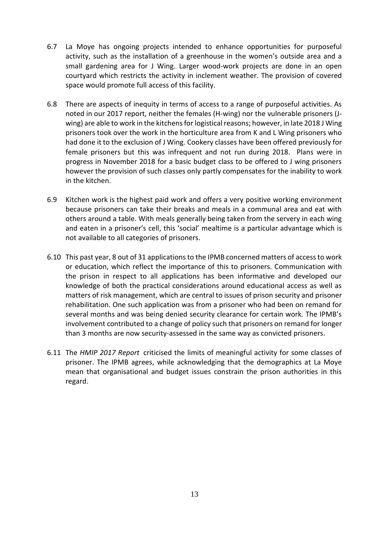- 6.7 La Moye has ongoing projects intended to enhance opportunities for purposeful activity, such as the installation of a greenhouse in the women's outside area and a small gardening area for J Wing. Larger wood-work projects are done in an open courtyard which restricts the activity in inclement weather. The provision of covered space would promote full access of this facility.
- 6.8 There are aspects of inequity in terms of access to a range of purposeful activities. As noted in our 2017 report, neither the females (H-wing) nor the vulnerable prisoners (Jwing) are able to work in the kitchens for logistical reasons; however, in late 2018 J Wing prisoners took over the work in the horticulture area from K and L Wing prisoners who had done it to the exclusion of J Wing. Cookery classes have been offered previously for female prisoners but this was infrequent and not run during 2018. Plans were in progress in November 2018 for a basic budget class to be offered to J wing prisoners however the provision of such classes only partly compensates for the inability to work in the kitchen.
- 6.9 Kitchen work is the highest paid work and offers a very positive working environment because prisoners can take their breaks and meals in a communal area and eat with others around a table. With meals generally being taken from the servery in each wing and eaten in a prisoner's cell, this 'social' mealtime is a particular advantage which is not available to all categories of prisoners.
- 6.10 This past year, 8 out of 31 applications to the IPMB concerned matters of access to work or education, which reflect the importance of this to prisoners. Communication with the prison in respect to all applications has been informative and developed our knowledge of both the practical considerations around educational access as well as matters of risk management, which are central to issues of prison security and prisoner rehabilitation. One such application was from a prisoner who had been on remand for several months and was being denied security clearance for certain work. The IPMB's involvement contributed to a change of policy such that prisoners on remand for longer than 3 months are now security-assessed in the same way as convicted prisoners.
- 6.11 The *HMIP 2017 Report* criticised the limits of meaningful activity for some classes of prisoner. The IPMB agrees, while acknowledging that the demographics at La Moye mean that organisational and budget issues constrain the prison authorities in this regard.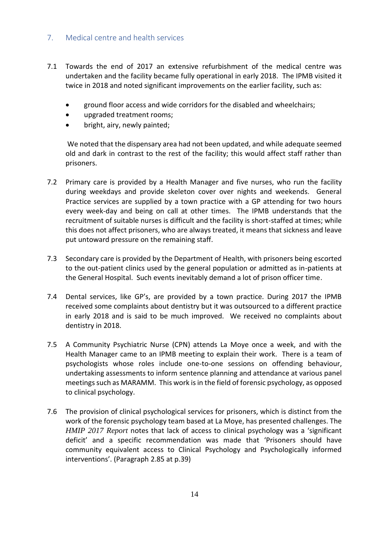#### <span id="page-15-0"></span>7. Medical centre and health services

- 7.1 Towards the end of 2017 an extensive refurbishment of the medical centre was undertaken and the facility became fully operational in early 2018. The IPMB visited it twice in 2018 and noted significant improvements on the earlier facility, such as:
	- ground floor access and wide corridors for the disabled and wheelchairs;
	- upgraded treatment rooms;
	- bright, airy, newly painted;

We noted that the dispensary area had not been updated, and while adequate seemed old and dark in contrast to the rest of the facility; this would affect staff rather than prisoners.

- 7.2 Primary care is provided by a Health Manager and five nurses, who run the facility during weekdays and provide skeleton cover over nights and weekends. General Practice services are supplied by a town practice with a GP attending for two hours every week-day and being on call at other times. The IPMB understands that the recruitment of suitable nurses is difficult and the facility is short-staffed at times; while this does not affect prisoners, who are always treated, it means that sickness and leave put untoward pressure on the remaining staff.
- 7.3 Secondary care is provided by the Department of Health, with prisoners being escorted to the out-patient clinics used by the general population or admitted as in-patients at the General Hospital. Such events inevitably demand a lot of prison officer time.
- 7.4 Dental services, like GP's, are provided by a town practice. During 2017 the IPMB received some complaints about dentistry but it was outsourced to a different practice in early 2018 and is said to be much improved. We received no complaints about dentistry in 2018.
- 7.5 A Community Psychiatric Nurse (CPN) attends La Moye once a week, and with the Health Manager came to an IPMB meeting to explain their work. There is a team of psychologists whose roles include one-to-one sessions on offending behaviour, undertaking assessments to inform sentence planning and attendance at various panel meetings such as MARAMM. This work is in the field of forensic psychology, as opposed to clinical psychology.
- 7.6 The provision of clinical psychological services for prisoners, which is distinct from the work of the forensic psychology team based at La Moye, has presented challenges. The *HMIP 2017 Report* notes that lack of access to clinical psychology was a 'significant deficit' and a specific recommendation was made that 'Prisoners should have community equivalent access to Clinical Psychology and Psychologically informed interventions'. (Paragraph 2.85 at p.39)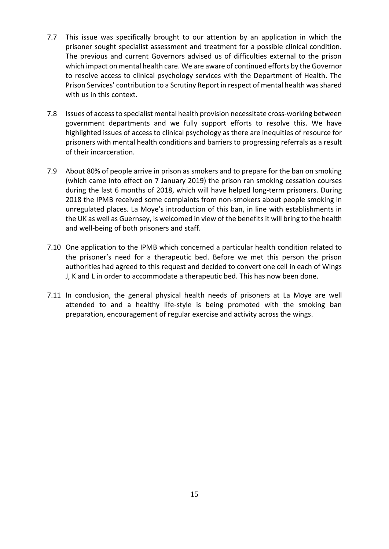- 7.7 This issue was specifically brought to our attention by an application in which the prisoner sought specialist assessment and treatment for a possible clinical condition. The previous and current Governors advised us of difficulties external to the prison which impact on mental health care. We are aware of continued efforts by the Governor to resolve access to clinical psychology services with the Department of Health. The Prison Services' contribution to a Scrutiny Report in respect of mental health was shared with us in this context.
- 7.8 Issues of accessto specialist mental health provision necessitate cross-working between government departments and we fully support efforts to resolve this. We have highlighted issues of access to clinical psychology as there are inequities of resource for prisoners with mental health conditions and barriers to progressing referrals as a result of their incarceration.
- 7.9 About 80% of people arrive in prison as smokers and to prepare for the ban on smoking (which came into effect on 7 January 2019) the prison ran smoking cessation courses during the last 6 months of 2018, which will have helped long-term prisoners. During 2018 the IPMB received some complaints from non-smokers about people smoking in unregulated places. La Moye's introduction of this ban, in line with establishments in the UK as well as Guernsey, is welcomed in view of the benefits it will bring to the health and well-being of both prisoners and staff.
- 7.10 One application to the IPMB which concerned a particular health condition related to the prisoner's need for a therapeutic bed. Before we met this person the prison authorities had agreed to this request and decided to convert one cell in each of Wings J, K and L in order to accommodate a therapeutic bed. This has now been done.
- 7.11 In conclusion, the general physical health needs of prisoners at La Moye are well attended to and a healthy life-style is being promoted with the smoking ban preparation, encouragement of regular exercise and activity across the wings.